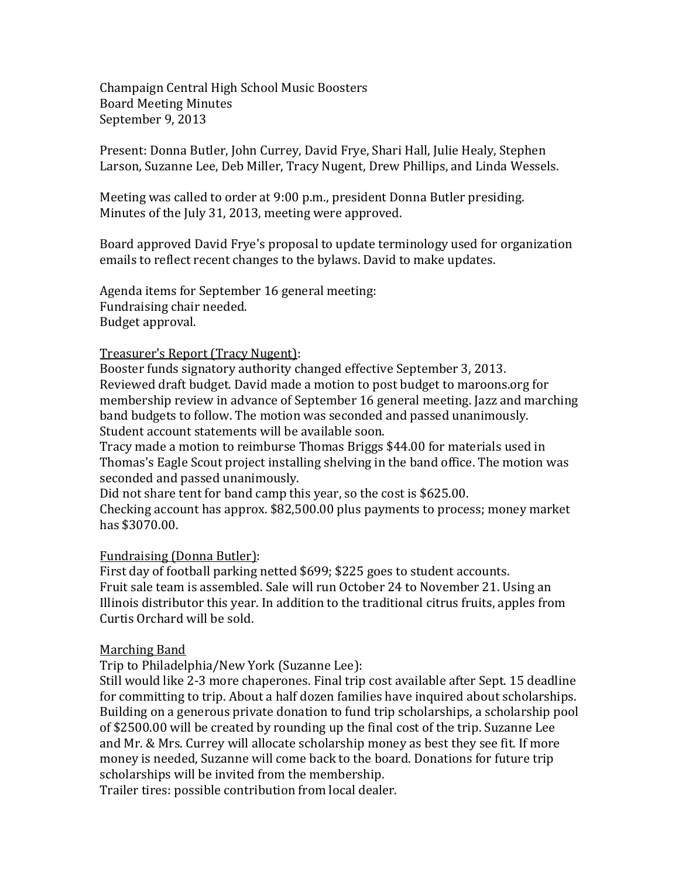Champaign Central High School Music Boosters Board Meeting Minutes September 9, 2013

Present: Donna Butler, John Currey, David Frye, Shari Hall, Julie Healy, Stephen Larson, Suzanne Lee, Deb Miller, Tracy Nugent, Drew Phillips, and Linda Wessels.

Meeting was called to order at 9:00 p.m., president Donna Butler presiding. Minutes of the July 31, 2013, meeting were approved.

Board approved David Frye's proposal to update terminology used for organization emails to reflect recent changes to the bylaws. David to make updates.

Agenda items for September 16 general meeting: Fundraising chair needed. Budget approval.

## Treasurer's Report (Tracy Nugent):

Booster funds signatory authority changed effective September 3, 2013. Reviewed draft budget. David made a motion to post budget to maroons.org for membership review in advance of September 16 general meeting. Jazz and marching band budgets to follow. The motion was seconded and passed unanimously. Student account statements will be available soon.

Tracy made a motion to reimburse Thomas Briggs \$44.00 for materials used in Thomas's Eagle Scout project installing shelving in the band office. The motion was seconded and passed unanimously.

Did not share tent for band camp this year, so the cost is \$625.00.

Checking account has approx. \$82,500.00 plus payments to process; money market has \$3070.00.

## Fundraising (Donna Butler):

First day of football parking netted \$699; \$225 goes to student accounts. Fruit sale team is assembled. Sale will run October 24 to November 21. Using an Illinois distributor this year. In addition to the traditional citrus fruits, apples from Curtis Orchard will be sold.

## Marching Band

Trip to Philadelphia/New York (Suzanne Lee):

Still would like 2-3 more chaperones. Final trip cost available after Sept. 15 deadline for committing to trip. About a half dozen families have inquired about scholarships. Building on a generous private donation to fund trip scholarships, a scholarship pool of \$2500.00 will be created by rounding up the final cost of the trip. Suzanne Lee and Mr. & Mrs. Currey will allocate scholarship money as best they see fit. If more money is needed, Suzanne will come back to the board. Donations for future trip scholarships will be invited from the membership.

Trailer tires: possible contribution from local dealer.